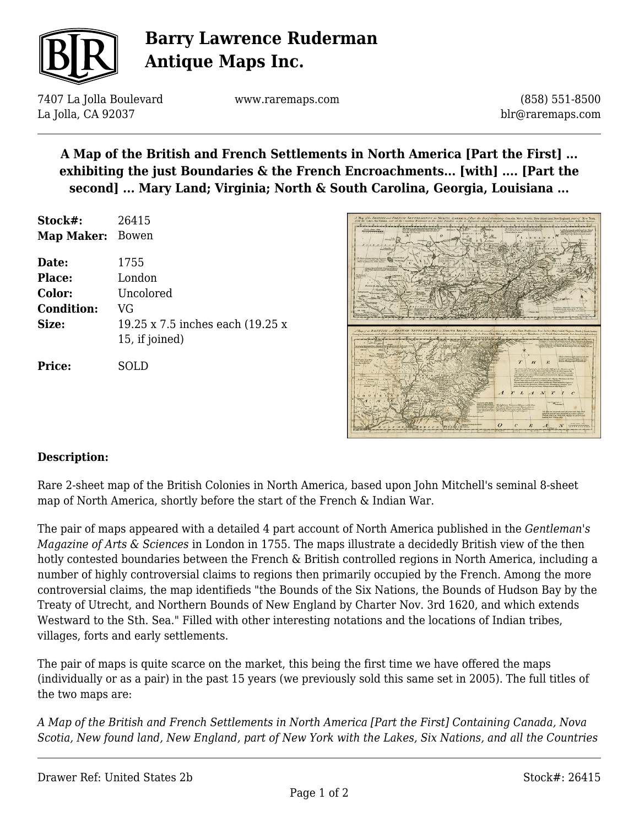

# **Barry Lawrence Ruderman Antique Maps Inc.**

7407 La Jolla Boulevard La Jolla, CA 92037

www.raremaps.com

(858) 551-8500 blr@raremaps.com

## **A Map of the British and French Settlements in North America [Part the First] ... exhibiting the just Boundaries & the French Encroachments... [with] .... [Part the second] ... Mary Land; Virginia; North & South Carolina, Georgia, Louisiana ...**

| Stock#:<br>Map Maker: | 26415<br>Bowen                                     |
|-----------------------|----------------------------------------------------|
| Date:                 | 1755                                               |
| Place:                | London                                             |
| Color:                | Uncolored                                          |
| <b>Condition:</b>     | VG                                                 |
| Size:                 | 19.25 x 7.5 inches each (19.25 x<br>15, if joined) |
| <b>Price:</b>         | SOLD                                               |



### **Description:**

Rare 2-sheet map of the British Colonies in North America, based upon John Mitchell's seminal 8-sheet map of North America, shortly before the start of the French & Indian War.

The pair of maps appeared with a detailed 4 part account of North America published in the *Gentleman's Magazine of Arts & Sciences* in London in 1755. The maps illustrate a decidedly British view of the then hotly contested boundaries between the French & British controlled regions in North America, including a number of highly controversial claims to regions then primarily occupied by the French. Among the more controversial claims, the map identifieds "the Bounds of the Six Nations, the Bounds of Hudson Bay by the Treaty of Utrecht, and Northern Bounds of New England by Charter Nov. 3rd 1620, and which extends Westward to the Sth. Sea." Filled with other interesting notations and the locations of Indian tribes, villages, forts and early settlements.

The pair of maps is quite scarce on the market, this being the first time we have offered the maps (individually or as a pair) in the past 15 years (we previously sold this same set in 2005). The full titles of the two maps are:

*A Map of the British and French Settlements in North America [Part the First] Containing Canada, Nova Scotia, New found land, New England, part of New York with the Lakes, Six Nations, and all the Countries*